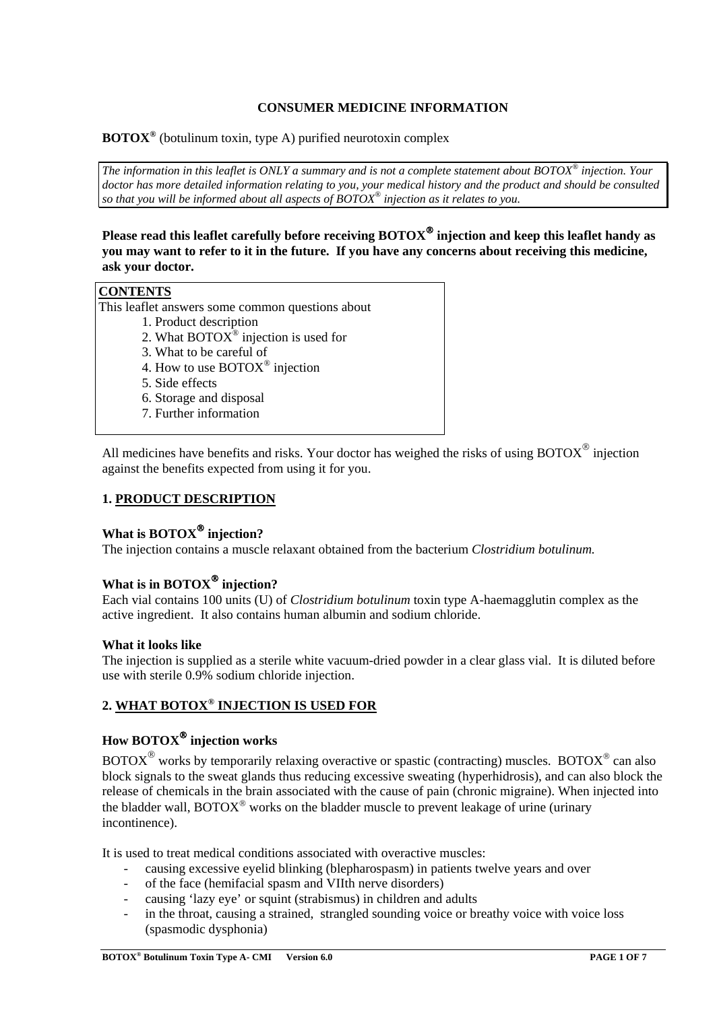## **CONSUMER MEDICINE INFORMATION**

**BOTOX®** (botulinum toxin, type A) purified neurotoxin complex

*The information in this leaflet is ONLY a summary and is not a complete statement about BOTOX® injection. Your*  doctor has more detailed information relating to you, your medical history and the product and should be consulted *so that you will be informed about all aspects of BOTOX® injection as it relates to you.*

**Please read this leaflet carefully before receiving BOTOX injection and keep this leaflet handy as you may want to refer to it in the future. If you have any concerns about receiving this medicine, ask your doctor.**

## **CONTENTS**

This leaflet answers some common questions about

- 1. Product description
- 2. What BOTO $X^{\circledast}$  injection is used for
- 3. What to be careful of
- 4. How to use BOTOX® injection
- 5. Side effects
- 6. Storage and disposal
- 7. Further information

All medicines have benefits and risks. Your doctor has weighed the risks of using BOTOX $^{\circ}$  injection against the benefits expected from using it for you.

## **1. PRODUCT DESCRIPTION**

# **What is BOTOX<sup>®</sup> injection?**

The injection contains a muscle relaxant obtained from the bacterium *Clostridium botulinum.*

# **What is in BOTOX injection?**

Each vial contains 100 units (U) of *Clostridium botulinum* toxin type A-haemagglutin complex as the active ingredient. It also contains human albumin and sodium chloride.

#### **What it looks like**

The injection is supplied as a sterile white vacuum-dried powder in a clear glass vial. It is diluted before use with sterile 0.9% sodium chloride injection.

# **2. WHAT BOTOX® INJECTION IS USED FOR**

# **How BOTOX injection works**

 $BOTOX^{\circledast}$  works by temporarily relaxing overactive or spastic (contracting) muscles. BOTOX<sup> $\circledast$ </sup> can also block signals to the sweat glands thus reducing excessive sweating (hyperhidrosis), and can also block the release of chemicals in the brain associated with the cause of pain (chronic migraine). When injected into the bladder wall,  $BOTOX^{\circledast}$  works on the bladder muscle to prevent leakage of urine (urinary incontinence).

It is used to treat medical conditions associated with overactive muscles:

- causing excessive eyelid blinking (blepharospasm) in patients twelve years and over
- of the face (hemifacial spasm and VIIth nerve disorders)
- causing 'lazy eye' or squint (strabismus) in children and adults
- in the throat, causing a strained, strangled sounding voice or breathy voice with voice loss (spasmodic dysphonia)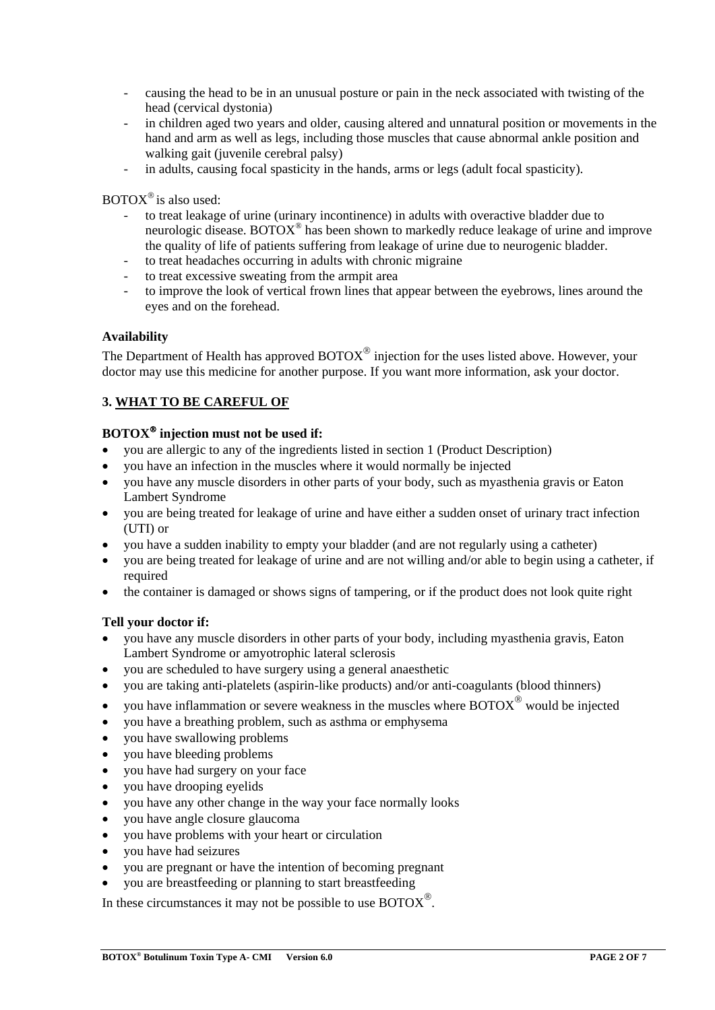- causing the head to be in an unusual posture or pain in the neck associated with twisting of the head (cervical dystonia)
- in children aged two years and older, causing altered and unnatural position or movements in the hand and arm as well as legs, including those muscles that cause abnormal ankle position and walking gait (juvenile cerebral palsy)
- in adults, causing focal spasticity in the hands, arms or legs (adult focal spasticity).

 $BOTOX^{\circledast}$  is also used:

- to treat leakage of urine (urinary incontinence) in adults with overactive bladder due to neurologic disease. BOTOX® has been shown to markedly reduce leakage of urine and improve the quality of life of patients suffering from leakage of urine due to neurogenic bladder.
- to treat headaches occurring in adults with chronic migraine
- to treat excessive sweating from the armpit area
- to improve the look of vertical frown lines that appear between the eyebrows, lines around the eyes and on the forehead.

#### **Availability**

The Department of Health has approved  $\text{BOTOX}^{\textcircled{\tiny{\textcirc}}}$  injection for the uses listed above. However, your doctor may use this medicine for another purpose. If you want more information, ask your doctor.

## **3. WHAT TO BE CAREFUL OF**

## **BOTOX injection must not be used if:**

- you are allergic to any of the ingredients listed in section 1 (Product Description)
- you have an infection in the muscles where it would normally be injected
- you have any muscle disorders in other parts of your body, such as myasthenia gravis or Eaton Lambert Syndrome
- you are being treated for leakage of urine and have either a sudden onset of urinary tract infection (UTI) or
- you have a sudden inability to empty your bladder (and are not regularly using a catheter)
- you are being treated for leakage of urine and are not willing and/or able to begin using a catheter, if required
- the container is damaged or shows signs of tampering, or if the product does not look quite right

#### **Tell your doctor if:**

- you have any muscle disorders in other parts of your body, including myasthenia gravis, Eaton Lambert Syndrome or amyotrophic lateral sclerosis
- you are scheduled to have surgery using a general anaesthetic
- you are taking anti-platelets (aspirin-like products) and/or anti-coagulants (blood thinners)
- you have inflammation or severe weakness in the muscles where  $\text{BOTOX}^\circledast$  would be injected
- you have a breathing problem, such as asthma or emphysema
- you have swallowing problems
- you have bleeding problems
- you have had surgery on your face
- you have drooping eyelids
- you have any other change in the way your face normally looks
- you have angle closure glaucoma
- you have problems with your heart or circulation
- you have had seizures
- you are pregnant or have the intention of becoming pregnant
- you are breastfeeding or planning to start breastfeeding

In these circumstances it may not be possible to use  $\text{BOTOX}^{\circledR}$ .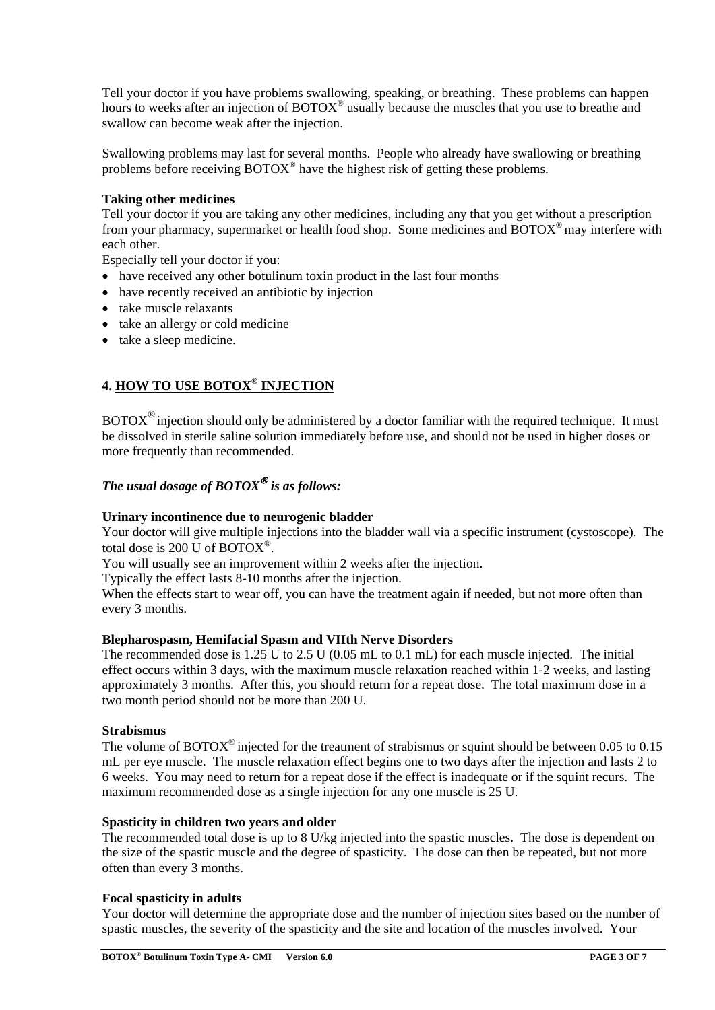Tell your doctor if you have problems swallowing, speaking, or breathing. These problems can happen hours to weeks after an injection of BOTOX<sup>®</sup> usually because the muscles that you use to breathe and swallow can become weak after the injection.

Swallowing problems may last for several months. People who already have swallowing or breathing problems before receiving BOTOX® have the highest risk of getting these problems.

#### **Taking other medicines**

Tell your doctor if you are taking any other medicines, including any that you get without a prescription from your pharmacy, supermarket or health food shop. Some medicines and BOTOX® may interfere with each other.

Especially tell your doctor if you:

- have received any other botulinum toxin product in the last four months
- have recently received an antibiotic by injection
- take muscle relaxants
- take an allergy or cold medicine
- take a sleep medicine.

## **4. HOW TO USE BOTOX® INJECTION**

 $BOTOX^{\circledast}$  injection should only be administered by a doctor familiar with the required technique. It must be dissolved in sterile saline solution immediately before use, and should not be used in higher doses or more frequently than recommended.

# *The usual dosage of BOTOX is as follows:*

#### **Urinary incontinence due to neurogenic bladder**

Your doctor will give multiple injections into the bladder wall via a specific instrument (cystoscope). The total dose is 200 U of  $BOTOX^*$ .

You will usually see an improvement within 2 weeks after the injection.

Typically the effect lasts 8-10 months after the injection.

When the effects start to wear off, you can have the treatment again if needed, but not more often than every 3 months.

#### **Blepharospasm, Hemifacial Spasm and VIIth Nerve Disorders**

The recommended dose is 1.25 U to 2.5 U (0.05 mL to 0.1 mL) for each muscle injected. The initial effect occurs within 3 days, with the maximum muscle relaxation reached within 1-2 weeks, and lasting approximately 3 months. After this, you should return for a repeat dose. The total maximum dose in a two month period should not be more than 200 U.

#### **Strabismus**

The volume of BOTOX<sup>®</sup> injected for the treatment of strabismus or squint should be between 0.05 to 0.15 mL per eye muscle. The muscle relaxation effect begins one to two days after the injection and lasts 2 to 6 weeks. You may need to return for a repeat dose if the effect is inadequate or if the squint recurs. The maximum recommended dose as a single injection for any one muscle is 25 U.

#### **Spasticity in children two years and older**

The recommended total dose is up to 8 U/kg injected into the spastic muscles. The dose is dependent on the size of the spastic muscle and the degree of spasticity. The dose can then be repeated, but not more often than every 3 months.

#### **Focal spasticity in adults**

Your doctor will determine the appropriate dose and the number of injection sites based on the number of spastic muscles, the severity of the spasticity and the site and location of the muscles involved. Your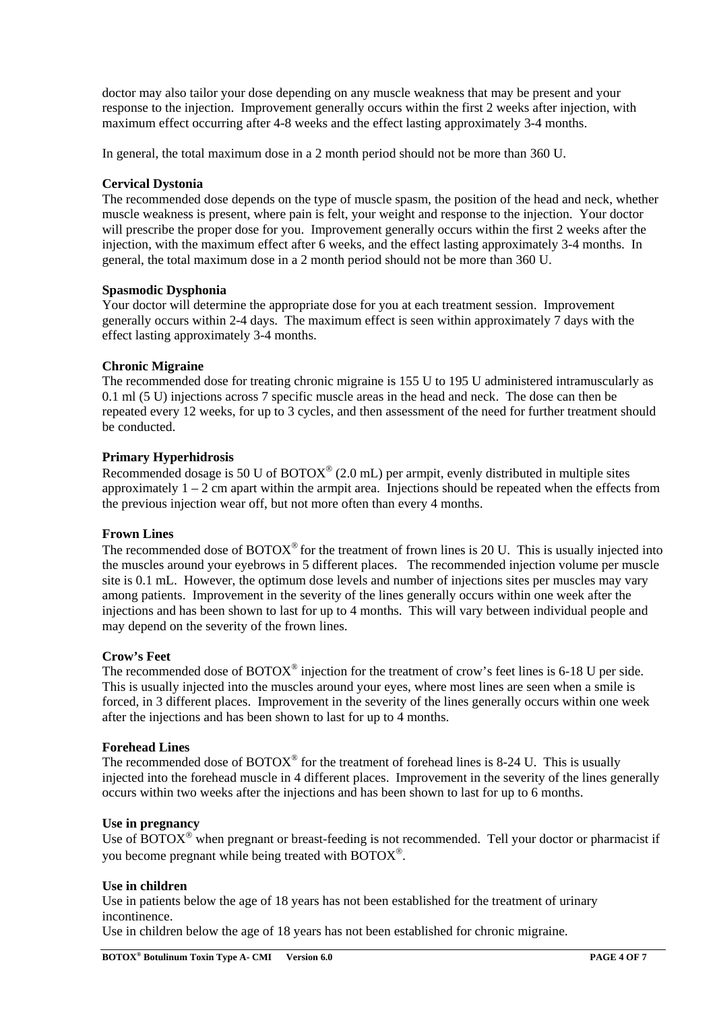doctor may also tailor your dose depending on any muscle weakness that may be present and your response to the injection. Improvement generally occurs within the first 2 weeks after injection, with maximum effect occurring after 4-8 weeks and the effect lasting approximately 3-4 months.

In general, the total maximum dose in a 2 month period should not be more than 360 U.

## **Cervical Dystonia**

The recommended dose depends on the type of muscle spasm, the position of the head and neck, whether muscle weakness is present, where pain is felt, your weight and response to the injection. Your doctor will prescribe the proper dose for you. Improvement generally occurs within the first 2 weeks after the injection, with the maximum effect after 6 weeks, and the effect lasting approximately 3-4 months. In general, the total maximum dose in a 2 month period should not be more than 360 U.

#### **Spasmodic Dysphonia**

Your doctor will determine the appropriate dose for you at each treatment session. Improvement generally occurs within 2-4 days. The maximum effect is seen within approximately 7 days with the effect lasting approximately 3-4 months.

#### **Chronic Migraine**

The recommended dose for treating chronic migraine is 155 U to 195 U administered intramuscularly as 0.1 ml (5 U) injections across 7 specific muscle areas in the head and neck. The dose can then be repeated every 12 weeks, for up to 3 cycles, and then assessment of the need for further treatment should be conducted.

#### **Primary Hyperhidrosis**

Recommended dosage is 50 U of  $BOTOX^{\circledast}$  (2.0 mL) per armpit, evenly distributed in multiple sites approximately  $1 - 2$  cm apart within the armpit area. Injections should be repeated when the effects from the previous injection wear off, but not more often than every 4 months.

#### **Frown Lines**

The recommended dose of  $BOTOX^{\circledcirc}$  for the treatment of frown lines is 20 U. This is usually injected into the muscles around your eyebrows in 5 different places. The recommended injection volume per muscle site is 0.1 mL. However, the optimum dose levels and number of injections sites per muscles may vary among patients. Improvement in the severity of the lines generally occurs within one week after the injections and has been shown to last for up to 4 months. This will vary between individual people and may depend on the severity of the frown lines.

#### **Crow's Feet**

The recommended dose of BOTOX<sup>®</sup> injection for the treatment of crow's feet lines is 6-18 U per side. This is usually injected into the muscles around your eyes, where most lines are seen when a smile is forced, in 3 different places. Improvement in the severity of the lines generally occurs within one week after the injections and has been shown to last for up to 4 months.

#### **Forehead Lines**

The recommended dose of  $BOTOX^{\circledcirc}$  for the treatment of forehead lines is 8-24 U. This is usually injected into the forehead muscle in 4 different places. Improvement in the severity of the lines generally occurs within two weeks after the injections and has been shown to last for up to 6 months.

#### **Use in pregnancy**

Use of  $\overline{BOTOX}^{\circledast}$  when pregnant or breast-feeding is not recommended. Tell your doctor or pharmacist if you become pregnant while being treated with BOTOX<sup>®</sup>.

#### **Use in children**

Use in patients below the age of 18 years has not been established for the treatment of urinary incontinence.

Use in children below the age of 18 years has not been established for chronic migraine.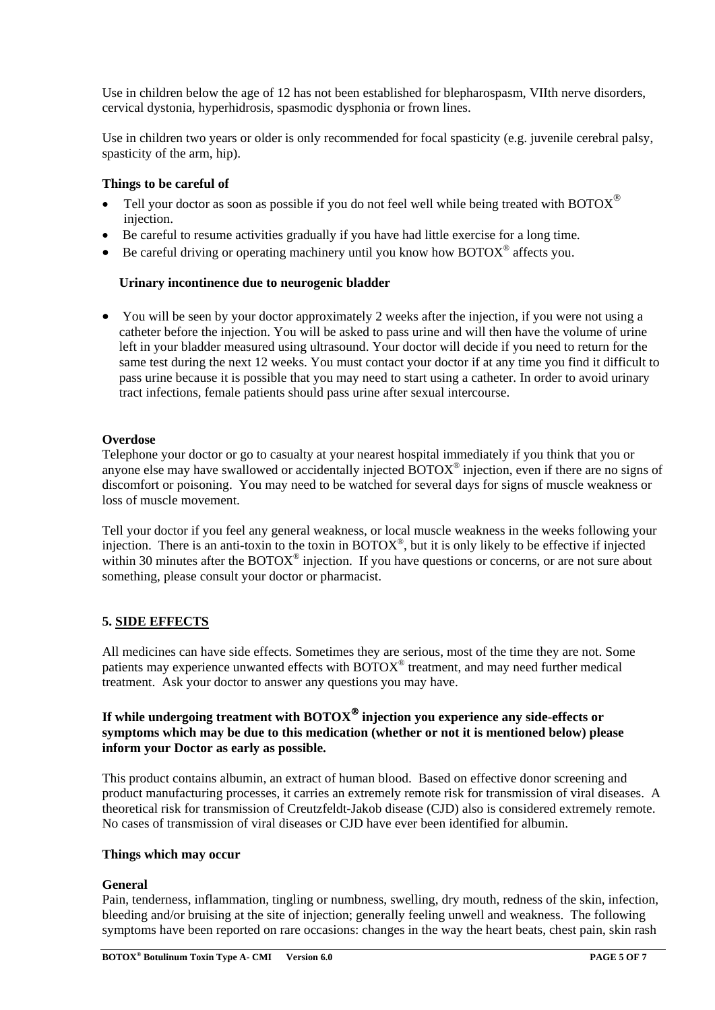Use in children below the age of 12 has not been established for blepharospasm, VIIth nerve disorders, cervical dystonia, hyperhidrosis, spasmodic dysphonia or frown lines.

Use in children two years or older is only recommended for focal spasticity (e.g. juvenile cerebral palsy, spasticity of the arm, hip).

## **Things to be careful of**

- Tell your doctor as soon as possible if you do not feel well while being treated with BOTOX $^{\circledR}$ injection.
- Be careful to resume activities gradually if you have had little exercise for a long time.
- Be careful driving or operating machinery until you know how  $\text{BOTOX}^{\circ}$  affects you.

## **Urinary incontinence due to neurogenic bladder**

• You will be seen by your doctor approximately 2 weeks after the injection, if you were not using a catheter before the injection. You will be asked to pass urine and will then have the volume of urine left in your bladder measured using ultrasound. Your doctor will decide if you need to return for the same test during the next 12 weeks. You must contact your doctor if at any time you find it difficult to pass urine because it is possible that you may need to start using a catheter. In order to avoid urinary tract infections, female patients should pass urine after sexual intercourse.

#### **Overdose**

Telephone your doctor or go to casualty at your nearest hospital immediately if you think that you or anyone else may have swallowed or accidentally injected BOTOX® injection, even if there are no signs of discomfort or poisoning. You may need to be watched for several days for signs of muscle weakness or loss of muscle movement.

Tell your doctor if you feel any general weakness, or local muscle weakness in the weeks following your injection. There is an anti-toxin to the toxin in  $\text{BOTOX}^{\circledast}$ , but it is only likely to be effective if injected within 30 minutes after the  $BOTOX^{\circledcirc}$  injection. If you have questions or concerns, or are not sure about something, please consult your doctor or pharmacist.

## **5. SIDE EFFECTS**

All medicines can have side effects. Sometimes they are serious, most of the time they are not. Some patients may experience unwanted effects with BOTOX® treatment, and may need further medical treatment. Ask your doctor to answer any questions you may have.

## **If while undergoing treatment with BOTOX injection you experience any side-effects or symptoms which may be due to this medication (whether or not it is mentioned below) please inform your Doctor as early as possible.**

This product contains albumin, an extract of human blood. Based on effective donor screening and product manufacturing processes, it carries an extremely remote risk for transmission of viral diseases. A theoretical risk for transmission of Creutzfeldt-Jakob disease (CJD) also is considered extremely remote. No cases of transmission of viral diseases or CJD have ever been identified for albumin.

#### **Things which may occur**

## **General**

Pain, tenderness, inflammation, tingling or numbness, swelling, dry mouth, redness of the skin, infection, bleeding and/or bruising at the site of injection; generally feeling unwell and weakness. The following symptoms have been reported on rare occasions: changes in the way the heart beats, chest pain, skin rash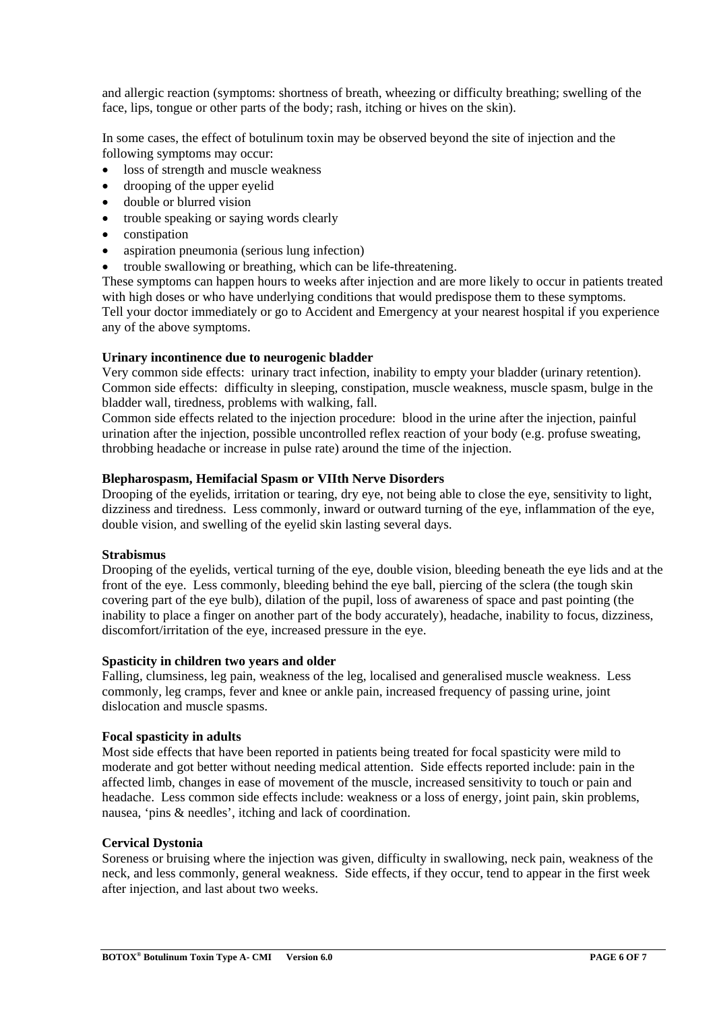and allergic reaction (symptoms: shortness of breath, wheezing or difficulty breathing; swelling of the face, lips, tongue or other parts of the body; rash, itching or hives on the skin).

In some cases, the effect of botulinum toxin may be observed beyond the site of injection and the following symptoms may occur:

- loss of strength and muscle weakness
- drooping of the upper eyelid
- double or blurred vision
- trouble speaking or saying words clearly
- constipation
- aspiration pneumonia (serious lung infection)
- trouble swallowing or breathing, which can be life-threatening.

These symptoms can happen hours to weeks after injection and are more likely to occur in patients treated with high doses or who have underlying conditions that would predispose them to these symptoms. Tell your doctor immediately or go to Accident and Emergency at your nearest hospital if you experience any of the above symptoms.

#### **Urinary incontinence due to neurogenic bladder**

Very common side effects: urinary tract infection, inability to empty your bladder (urinary retention). Common side effects: difficulty in sleeping, constipation, muscle weakness, muscle spasm, bulge in the bladder wall, tiredness, problems with walking, fall.

Common side effects related to the injection procedure: blood in the urine after the injection, painful urination after the injection, possible uncontrolled reflex reaction of your body (e.g. profuse sweating, throbbing headache or increase in pulse rate) around the time of the injection.

#### **Blepharospasm, Hemifacial Spasm or VIIth Nerve Disorders**

Drooping of the eyelids, irritation or tearing, dry eye, not being able to close the eye, sensitivity to light, dizziness and tiredness. Less commonly, inward or outward turning of the eye, inflammation of the eye, double vision, and swelling of the eyelid skin lasting several days.

#### **Strabismus**

Drooping of the evelids, vertical turning of the eye, double vision, bleeding beneath the eye lids and at the front of the eye. Less commonly, bleeding behind the eye ball, piercing of the sclera (the tough skin covering part of the eye bulb), dilation of the pupil, loss of awareness of space and past pointing (the inability to place a finger on another part of the body accurately), headache, inability to focus, dizziness, discomfort/irritation of the eye, increased pressure in the eye.

#### **Spasticity in children two years and older**

Falling, clumsiness, leg pain, weakness of the leg, localised and generalised muscle weakness. Less commonly, leg cramps, fever and knee or ankle pain, increased frequency of passing urine, joint dislocation and muscle spasms.

#### **Focal spasticity in adults**

Most side effects that have been reported in patients being treated for focal spasticity were mild to moderate and got better without needing medical attention. Side effects reported include: pain in the affected limb, changes in ease of movement of the muscle, increased sensitivity to touch or pain and headache. Less common side effects include: weakness or a loss of energy, joint pain, skin problems, nausea, 'pins & needles', itching and lack of coordination.

#### **Cervical Dystonia**

Soreness or bruising where the injection was given, difficulty in swallowing, neck pain, weakness of the neck, and less commonly, general weakness. Side effects, if they occur, tend to appear in the first week after injection, and last about two weeks.